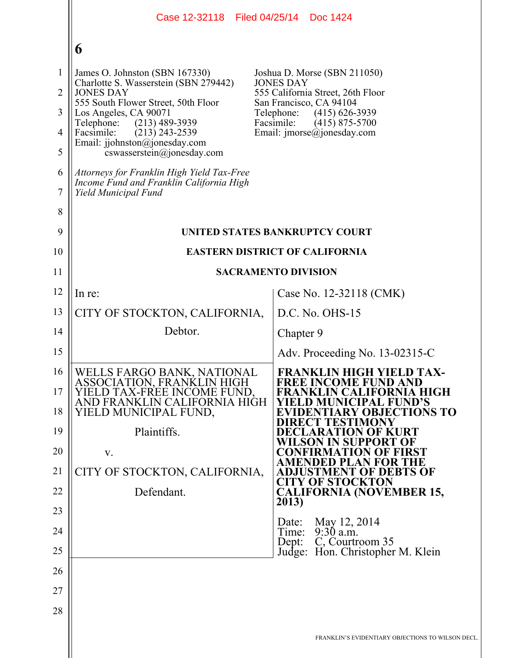|                                                            | Case 12-32118 Filed 04/25/14                                                                                                                                                                                                                                                                   | Doc 1424                                                                                                                                                                                                                             |
|------------------------------------------------------------|------------------------------------------------------------------------------------------------------------------------------------------------------------------------------------------------------------------------------------------------------------------------------------------------|--------------------------------------------------------------------------------------------------------------------------------------------------------------------------------------------------------------------------------------|
|                                                            | 6                                                                                                                                                                                                                                                                                              |                                                                                                                                                                                                                                      |
| $\mathbf{1}$<br>$\overline{2}$<br>3<br>$\overline{4}$<br>5 | James O. Johnston (SBN 167330)<br>Charlotte S. Wasserstein (SBN 279442)<br><b>JONES DAY</b><br>555 South Flower Street, 50th Floor<br>Los Angeles, CA 90071<br>Telephone:<br>$(213)$ 489-3939<br>Facsimile:<br>$(213)$ 243-2539<br>Email: jjohnston@jonesday.com<br>cswasserstein@jonesday.com | Joshua D. Morse (SBN 211050)<br><b>JONES DAY</b><br>555 California Street, 26th Floor<br>San Francisco, CA 94104<br>Telephone:<br>$(415)$ 626-3939<br>Facsimile:<br>$(415)$ 875-5700<br>Email: $\text{imorse}(\hat{a})$ jonesday.com |
| 6<br>7                                                     | Attorneys for Franklin High Yield Tax-Free<br>Income Fund and Franklin California High<br>Yield Municipal Fund                                                                                                                                                                                 |                                                                                                                                                                                                                                      |
| 8                                                          |                                                                                                                                                                                                                                                                                                |                                                                                                                                                                                                                                      |
| 9<br>10                                                    |                                                                                                                                                                                                                                                                                                | UNITED STATES BANKRUPTCY COURT<br><b>EASTERN DISTRICT OF CALIFORNIA</b>                                                                                                                                                              |
| 11                                                         |                                                                                                                                                                                                                                                                                                | <b>SACRAMENTO DIVISION</b>                                                                                                                                                                                                           |
| 12                                                         | In re:                                                                                                                                                                                                                                                                                         | Case No. 12-32118 (CMK)                                                                                                                                                                                                              |
| 13                                                         | CITY OF STOCKTON, CALIFORNIA,                                                                                                                                                                                                                                                                  | $D.C. No. OHS-15$                                                                                                                                                                                                                    |
| 14                                                         | Debtor.                                                                                                                                                                                                                                                                                        | Chapter 9                                                                                                                                                                                                                            |
| 15                                                         |                                                                                                                                                                                                                                                                                                | Adv. Proceeding No. 13-02315-C                                                                                                                                                                                                       |
| 16<br>17<br>18                                             | WELLS FARGO BANK, NATIONAL<br>ASSOCIATION, FRANKLIN HIGH<br>YIELD TAX-FREE INCOME FUND.<br>AND FRANKLIN CALIFORNIA HIGH<br>YIELD MUNICIPAL FUND,                                                                                                                                               | FRANKLIN HIGH YIELD TAX-<br><b>FREE INCOME FUND AND</b><br>FRANKLIN CALIFORNIA HIGH<br>ELD MUNICIPAL FUND'S<br><b>EVIDENTIARY OBJECTIONS TO</b><br>DIRECT TESTIMONY                                                                  |
| 19                                                         | Plaintiffs.                                                                                                                                                                                                                                                                                    | DECLARATION OF KURT<br>WILSON IN SUPPORT OF                                                                                                                                                                                          |
| 20<br>21                                                   | V.<br>CITY OF STOCKTON, CALIFORNIA,                                                                                                                                                                                                                                                            | CONFIRMATION OF FIRST<br>AMENDED PLAN FOR THE<br><b>ADJUSTMENT OF DEBTS OF</b>                                                                                                                                                       |
| 22                                                         | Defendant.                                                                                                                                                                                                                                                                                     | <b>CITY OF STOCKTON</b><br><b>CALIFORNIA (NOVEMBER 15,</b>                                                                                                                                                                           |
| 23                                                         |                                                                                                                                                                                                                                                                                                | 2013)                                                                                                                                                                                                                                |
| 24                                                         |                                                                                                                                                                                                                                                                                                | May 12, 2014<br>Date:<br>$9:30$ a.m.<br>Time:                                                                                                                                                                                        |
| 25                                                         |                                                                                                                                                                                                                                                                                                | C, Courtroom 35<br>Dept:<br>Judge: Hon. Christopher M. Klein                                                                                                                                                                         |
| 26                                                         |                                                                                                                                                                                                                                                                                                |                                                                                                                                                                                                                                      |
| 27                                                         |                                                                                                                                                                                                                                                                                                |                                                                                                                                                                                                                                      |
| 28                                                         |                                                                                                                                                                                                                                                                                                |                                                                                                                                                                                                                                      |
|                                                            |                                                                                                                                                                                                                                                                                                | FRANKLIN'S EVIDENTIARY OBJECTIONS TO WILSON DECL.                                                                                                                                                                                    |
|                                                            |                                                                                                                                                                                                                                                                                                |                                                                                                                                                                                                                                      |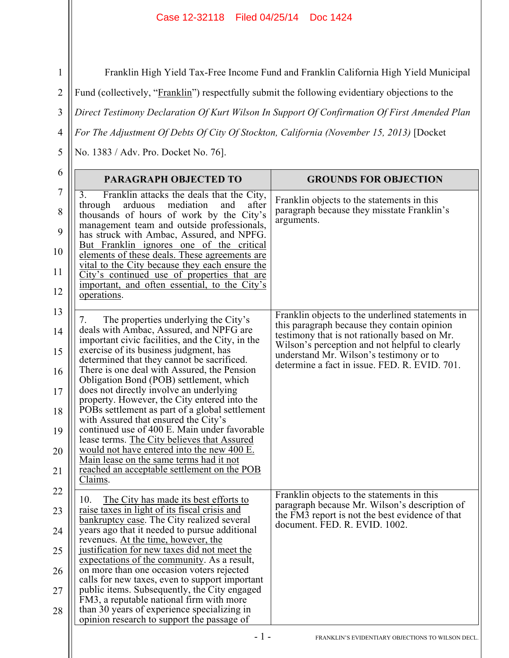Franklin High Yield Tax-Free Income Fund and Franklin California High Yield Municipal

Fund (collectively, "Franklin") respectfully submit the following evidentiary objections to the

3 *Direct Testimony Declaration Of Kurt Wilson In Support Of Confirmation Of First Amended Plan* 

*For The Adjustment Of Debts Of City Of Stockton, California (November 15, 2013)* [Docket

No. 1383 / Adv. Pro. Docket No. 76].

1

2

4

5

| 6                                                  | <b>PARAGRAPH OBJECTED TO</b>                                                                                                                                                                                                                                                                                                                                                                                                                                                                                                                                                                                                                                                                                                                                       | <b>GROUNDS FOR OBJECTION</b>                                                                                                                                                                                                                                                                   |
|----------------------------------------------------|--------------------------------------------------------------------------------------------------------------------------------------------------------------------------------------------------------------------------------------------------------------------------------------------------------------------------------------------------------------------------------------------------------------------------------------------------------------------------------------------------------------------------------------------------------------------------------------------------------------------------------------------------------------------------------------------------------------------------------------------------------------------|------------------------------------------------------------------------------------------------------------------------------------------------------------------------------------------------------------------------------------------------------------------------------------------------|
| $\tau$<br>8<br>9<br>10<br>11<br>12                 | Franklin attacks the deals that the City,<br>3.<br>arduous<br>mediation<br>through<br>and<br>after<br>thousands of hours of work by the City's<br>management team and outside professionals,<br>has struck with Ambac, Assured, and NPFG.<br>But Franklin ignores one of the critical<br>elements of these deals. These agreements are<br>vital to the City because they each ensure the<br>City's continued use of properties that are<br>important, and often essential, to the City's<br>operations.                                                                                                                                                                                                                                                            | Franklin objects to the statements in this<br>paragraph because they misstate Franklin's<br>arguments.                                                                                                                                                                                         |
| 13<br>14<br>15<br>16<br>17<br>18<br>19<br>20<br>21 | The properties underlying the City's<br>7.<br>deals with Ambac, Assured, and NPFG are<br>important civic facilities, and the City, in the<br>exercise of its business judgment, has<br>determined that they cannot be sacrificed.<br>There is one deal with Assured, the Pension<br>Obligation Bond (POB) settlement, which<br>does not directly involve an underlying<br>property. However, the City entered into the<br>POBs settlement as part of a global settlement<br>with Assured that ensured the City's<br>continued use of 400 E. Main under favorable<br>lease terms. The City believes that Assured<br>would not have entered into the new 400 E.<br>Main lease on the same terms had it not<br>reached an acceptable settlement on the POB<br>Claims. | Franklin objects to the underlined statements in<br>this paragraph because they contain opinion<br>testimony that is not rationally based on Mr.<br>Wilson's perception and not helpful to clearly<br>understand Mr. Wilson's testimony or to<br>determine a fact in issue. FED. R. EVID. 701. |
| 22<br>23<br>24<br>25<br>26<br>27<br>28             | The City has made its best efforts to<br>10.<br>raise taxes in light of its fiscal crisis and<br>bankruptcy case. The City realized several<br>years ago that it needed to pursue additional<br>revenues. At the time, however, the<br>justification for new taxes did not meet the<br>expectations of the community. As a result,<br>on more than one occasion voters rejected<br>calls for new taxes, even to support important<br>public items. Subsequently, the City engaged<br>FM3, a reputable national firm with more<br>than 30 years of experience specializing in<br>opinion research to support the passage of                                                                                                                                         | Franklin objects to the statements in this<br>paragraph because Mr. Wilson's description of<br>the FM3 report is not the best evidence of that<br>document. FED. R. EVID. 1002.                                                                                                                |
|                                                    | $-1-$                                                                                                                                                                                                                                                                                                                                                                                                                                                                                                                                                                                                                                                                                                                                                              | FRANKLIN'S EVIDENTIARY OBJECTIONS TO WILSON DECL.                                                                                                                                                                                                                                              |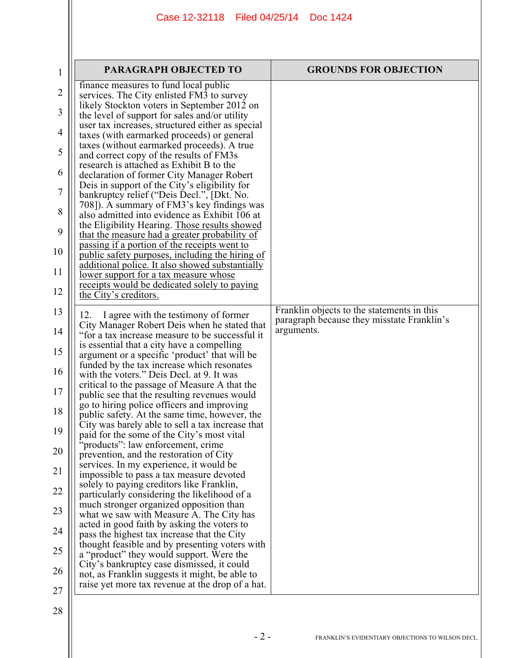## Case 12-32118 Filed 04/25/14 Doc 1424

| $\mathbf 1$    | PARAGRAPH OBJECTED TO                                                                           | <b>GROUNDS FOR OBJECTION</b>                                                             |
|----------------|-------------------------------------------------------------------------------------------------|------------------------------------------------------------------------------------------|
| 2              | finance measures to fund local public<br>services. The City enlisted FM3 to survey              |                                                                                          |
| 3              | likely Stockton voters in September 2012 on<br>the level of support for sales and/or utility    |                                                                                          |
| 4              | user tax increases, structured either as special<br>taxes (with earmarked proceeds) or general  |                                                                                          |
| 5              | taxes (without earmarked proceeds). A true<br>and correct copy of the results of FM3s           |                                                                                          |
| 6              | research is attached as Exhibit B to the<br>declaration of former City Manager Robert           |                                                                                          |
| $\overline{7}$ | Deis in support of the City's eligibility for<br>bankruptcy relief ("Deis Decl.", [Dkt. No.     |                                                                                          |
| 8              | 708]). A summary of FM3's key findings was<br>also admitted into evidence as Exhibit 106 at     |                                                                                          |
| 9              | the Eligibility Hearing. Those results showed<br>that the measure had a greater probability of  |                                                                                          |
| 10             | passing if a portion of the receipts went to<br>public safety purposes, including the hiring of |                                                                                          |
| 11             | additional police. It also showed substantially<br><u>lower support for a tax measure whose</u> |                                                                                          |
| 12             | receipts would be dedicated solely to paying<br>the City's creditors.                           |                                                                                          |
| 13             | I agree with the testimony of former<br>12.                                                     | Franklin objects to the statements in this<br>paragraph because they misstate Franklin's |
| 14             | City Manager Robert Deis when he stated that<br>"for a tax increase measure to be successful it | arguments.                                                                               |
| 15             | is essential that a city have a compelling<br>argument or a specific 'product' that will be     |                                                                                          |
| 16             | funded by the tax increase which resonates<br>with the voters." Deis Decl. at 9. It was         |                                                                                          |
| 17             | critical to the passage of Measure A that the<br>public see that the resulting revenues would   |                                                                                          |
| 18             | go to hiring police officers and improving<br>public safety. At the same time, however, the     |                                                                                          |
| 19             | City was barely able to sell a tax increase that<br>paid for the some of the City's most vital  |                                                                                          |
| 20             | "products": law enforcement, crime<br>prevention, and the restoration of City                   |                                                                                          |
| 21             | services. In my experience, it would be<br>impossible to pass a tax measure devoted             |                                                                                          |
| 22             | solely to paying creditors like Franklin,<br>particularly considering the likelihood of a       |                                                                                          |
| 23             | much stronger organized opposition than<br>what we saw with Measure A. The City has             |                                                                                          |
| 24             | acted in good faith by asking the voters to<br>pass the highest tax increase that the City      |                                                                                          |
| 25             | thought feasible and by presenting voters with<br>a "product" they would support. Were the      |                                                                                          |
| 26             | City's bankruptcy case dismissed, it could<br>not, as Franklin suggests it might, be able to    |                                                                                          |
| 27             | raise yet more tax revenue at the drop of a hat.                                                |                                                                                          |
| 28             |                                                                                                 |                                                                                          |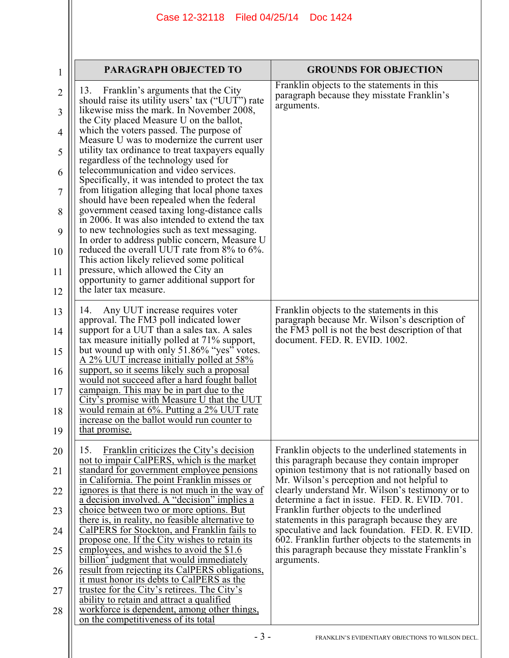## Case 12-32118 Filed 04/25/14 Doc 1424

| 1                                                      | PARAGRAPH OBJECTED TO                                                                                                                                                                                                                                                                                                                                                                                                                                                                                                                                                                                                                                                                                                                                                                                                                                                                                                                                                                        | <b>GROUNDS FOR OBJECTION</b>                                                                                                                                                                                                                                                                                                                                                                                                                                                                                                                                                    |
|--------------------------------------------------------|----------------------------------------------------------------------------------------------------------------------------------------------------------------------------------------------------------------------------------------------------------------------------------------------------------------------------------------------------------------------------------------------------------------------------------------------------------------------------------------------------------------------------------------------------------------------------------------------------------------------------------------------------------------------------------------------------------------------------------------------------------------------------------------------------------------------------------------------------------------------------------------------------------------------------------------------------------------------------------------------|---------------------------------------------------------------------------------------------------------------------------------------------------------------------------------------------------------------------------------------------------------------------------------------------------------------------------------------------------------------------------------------------------------------------------------------------------------------------------------------------------------------------------------------------------------------------------------|
| 2<br>3<br>4<br>5<br>6<br>7<br>8<br>9<br>10<br>11<br>12 | Franklin's arguments that the City<br>13.<br>should raise its utility users' tax ("UUT") rate<br>likewise miss the mark. In November 2008,<br>the City placed Measure U on the ballot,<br>which the voters passed. The purpose of<br>Measure U was to modernize the current user<br>utility tax ordinance to treat taxpayers equally<br>regardless of the technology used for<br>telecommunication and video services.<br>Specifically, it was intended to protect the tax<br>from litigation alleging that local phone taxes<br>should have been repealed when the federal<br>government ceased taxing long-distance calls<br>in 2006. It was also intended to extend the tax<br>to new technologies such as text messaging.<br>In order to address public concern, Measure U<br>reduced the overall UUT rate from 8% to 6%.<br>This action likely relieved some political<br>pressure, which allowed the City an<br>opportunity to garner additional support for<br>the later tax measure. | Franklin objects to the statements in this<br>paragraph because they misstate Franklin's<br>arguments.                                                                                                                                                                                                                                                                                                                                                                                                                                                                          |
| 13<br>14<br>15<br>16<br>17<br>18<br>19                 | Any UUT increase requires voter<br>14.<br>approval. The FM3 poll indicated lower<br>support for a UUT than a sales tax. A sales<br>tax measure initially polled at 71% support,<br>but wound up with only 51.86% "yes" votes.<br><u>A 2% UUT increase initially polled at 58%</u><br>support, so it seems likely such a proposal<br>would not succeed after a hard fought ballot<br>campaign. This may be in part due to the<br>City's promise with Measure U that the UUT<br>would remain at 6%. Putting a 2% UUT rate<br>increase on the ballot would run counter to<br>that promise.                                                                                                                                                                                                                                                                                                                                                                                                      | Franklin objects to the statements in this<br>paragraph because Mr. Wilson's description of<br>the FM3 poll is not the best description of that<br>document. FED. R. EVID. 1002.                                                                                                                                                                                                                                                                                                                                                                                                |
| 20<br>21<br>22<br>23<br>24<br>25<br>26<br>27<br>28     | 15.<br>Franklin criticizes the City's decision<br>not to impair CalPERS, which is the market<br>standard for government employee pensions<br>in California. The point Franklin misses or<br>ignores is that there is not much in the way of<br>a decision involved. A "decision" implies a<br>choice between two or more options. But<br>there is, in reality, no feasible alternative to<br>CalPERS for Stockton, and Franklin fails to<br>propose one. If the City wishes to retain its<br>employees, and wishes to avoid the \$1.6<br><u>billion<sup>2</sup></u> judgment that would immediately<br>result from rejecting its CalPERS obligations,<br>it must honor its debts to CalPERS as the<br>trustee for the City's retirees. The City's<br>ability to retain and attract a qualified<br>workforce is dependent, among other things,<br>on the competitiveness of its total                                                                                                         | Franklin objects to the underlined statements in<br>this paragraph because they contain improper<br>opinion testimony that is not rationally based on<br>Mr. Wilson's perception and not helpful to<br>clearly understand Mr. Wilson's testimony or to<br>determine a fact in issue. FED. R. EVID. 701.<br>Franklin further objects to the underlined<br>statements in this paragraph because they are<br>speculative and lack foundation. FED. R. EVID.<br>602. Franklin further objects to the statements in<br>this paragraph because they misstate Franklin's<br>arguments. |
|                                                        | $-3-$                                                                                                                                                                                                                                                                                                                                                                                                                                                                                                                                                                                                                                                                                                                                                                                                                                                                                                                                                                                        | FRANKLIN'S EVIDENTIARY OBJECTIONS TO WILSON DECL.                                                                                                                                                                                                                                                                                                                                                                                                                                                                                                                               |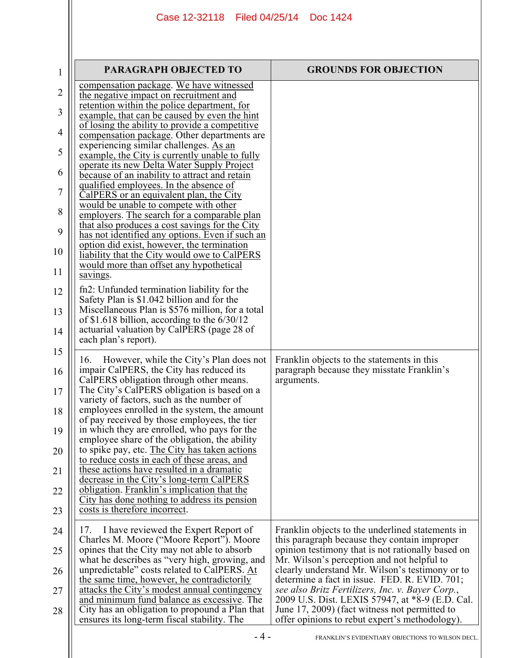## Case 12-32118 Filed 04/25/14 Doc 1424

| $\mathbf{1}$ | <b>PARAGRAPH OBJECTED TO</b>                                                                      | <b>GROUNDS FOR OBJECTION</b>                                                                      |
|--------------|---------------------------------------------------------------------------------------------------|---------------------------------------------------------------------------------------------------|
|              | compensation package. We have witnessed                                                           |                                                                                                   |
| 2            | the negative impact on recruitment and<br>retention within the police department, for             |                                                                                                   |
| 3            | example, that can be caused by even the hint                                                      |                                                                                                   |
| 4            | of losing the ability to provide a competitive<br>compensation package. Other departments are     |                                                                                                   |
| 5            | experiencing similar challenges. As an<br>example, the City is currently unable to fully          |                                                                                                   |
|              | operate its new Delta Water Supply Project                                                        |                                                                                                   |
| 6            | because of an inability to attract and retain<br>qualified employees. In the absence of           |                                                                                                   |
| 7            | CalPERS or an equivalent plan, the City                                                           |                                                                                                   |
| 8            | would be unable to compete with other<br>employers. The search for a comparable plan              |                                                                                                   |
| 9            | that also produces a cost savings for the City<br>has not identified any options. Even if such an |                                                                                                   |
| 10           | option did exist, however, the termination                                                        |                                                                                                   |
|              | liability that the City would owe to CalPERS<br>would more than offset any hypothetical           |                                                                                                   |
| 11           | savings.                                                                                          |                                                                                                   |
| 12           | fn2: Unfunded termination liability for the<br>Safety Plan is \$1.042 billion and for the         |                                                                                                   |
| 13           | Miscellaneous Plan is \$576 million, for a total                                                  |                                                                                                   |
| 14           | of \$1.618 billion, according to the $6/30/12$<br>actuarial valuation by CalPERS (page 28 of      |                                                                                                   |
|              | each plan's report).                                                                              |                                                                                                   |
| 15           | However, while the City's Plan does not<br>16.                                                    | Franklin objects to the statements in this                                                        |
| 16           | impair CalPERS, the City has reduced its<br>CalPERS obligation through other means.               | paragraph because they misstate Franklin's<br>arguments.                                          |
| 17           | The City's CalPERS obligation is based on a                                                       |                                                                                                   |
| 18           | variety of factors, such as the number of<br>employees enrolled in the system, the amount         |                                                                                                   |
| 19           | of pay received by those employees, the tier<br>in which they are enrolled, who pays for the      |                                                                                                   |
|              | employee share of the obligation, the ability                                                     |                                                                                                   |
| 20           | to spike pay, etc. The City has taken actions<br>to reduce costs in each of these areas, and      |                                                                                                   |
| 21           | these actions have resulted in a dramatic<br>decrease in the City's long-term CalPERS             |                                                                                                   |
| 22           | obligation. Franklin's implication that the                                                       |                                                                                                   |
| 23           | <u>City has done nothing to address its pension</u><br>costs is therefore incorrect.              |                                                                                                   |
|              |                                                                                                   |                                                                                                   |
| 24           | I have reviewed the Expert Report of<br>17.<br>Charles M. Moore ("Moore Report"). Moore           | Franklin objects to the underlined statements in<br>this paragraph because they contain improper  |
| 25           | opines that the City may not able to absorb<br>what he describes as "very high, growing, and      | opinion testimony that is not rationally based on<br>Mr. Wilson's perception and not helpful to   |
| 26           | unpredictable" costs related to CalPERS. At                                                       | clearly understand Mr. Wilson's testimony or to                                                   |
| 27           | the same time, however, he contradictorily<br>attacks the City's modest annual contingency        | determine a fact in issue. FED. R. EVID. 701;<br>see also Britz Fertilizers, Inc. v. Bayer Corp., |
| 28           | and minimum fund balance as excessive. The<br>City has an obligation to propound a Plan that      | 2009 U.S. Dist. LEXIS 57947, at *8-9 (E.D. Cal.<br>June 17, 2009) (fact witness not permitted to  |
|              | ensures its long-term fiscal stability. The                                                       | offer opinions to rebut expert's methodology).                                                    |
|              | - 4 -                                                                                             | FRANKLIN'S EVIDENTIARY OBJECTIONS TO WILSON DECL.                                                 |
|              |                                                                                                   |                                                                                                   |